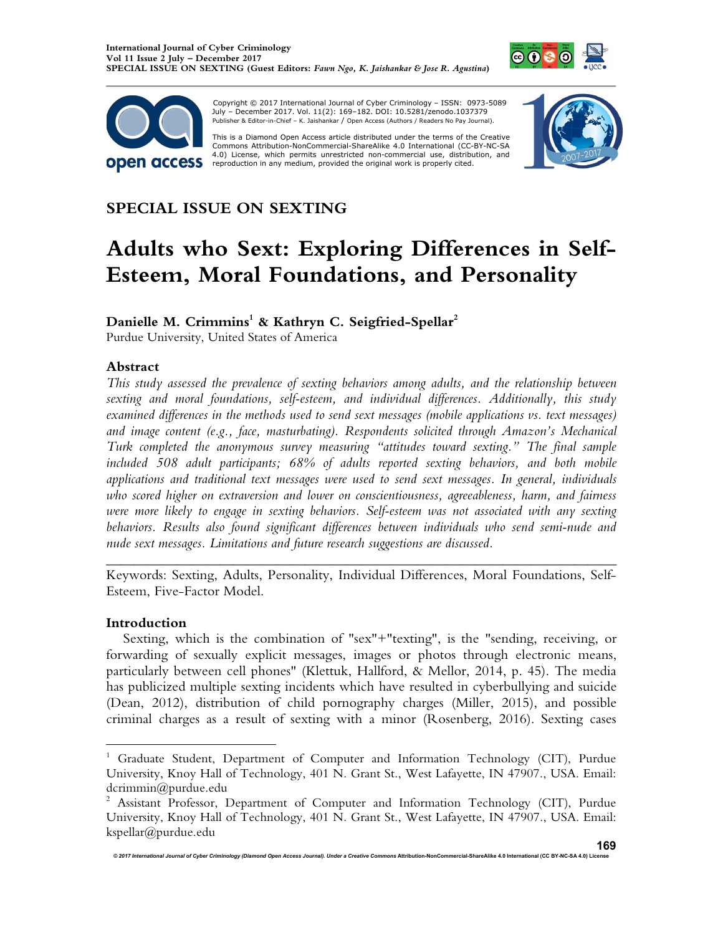



 Copyright © 2017 International Journal of Cyber Criminology – ISSN: 0973-5089 July – December 2017. Vol. 11(2): 169–182. DOI: 10.5281/zenodo.1037379 Publisher & Editor-in-Chief – K. Jaishankar / Open Access (Authors / Readers No Pay Journal).

This is a Diamond Open Access article distributed under the terms of the Creative Commons Attribution-NonCommercial-ShareAlike 4.0 International (CC-BY-NC-SA 4.0) License, which permits unrestricted non-commercial use, distribution, and<br>reproduction in any medium, provided the original work is properly cited.



# **SPECIAL ISSUE ON SEXTING**

# **Adults who Sext: Exploring Differences in Self-Esteem, Moral Foundations, and Personality**

# **Danielle M. Crimmins<sup>1</sup> & Kathryn C. Seigfried-Spellar<sup>2</sup>**

Purdue University, United States of America

# **Abstract**

*This study assessed the prevalence of sexting behaviors among adults, and the relationship between sexting and moral foundations, self-esteem, and individual differences. Additionally, this study examined differences in the methods used to send sext messages (mobile applications vs. text messages) and image content (e.g., face, masturbating). Respondents solicited through Amazon's Mechanical Turk completed the anonymous survey measuring "attitudes toward sexting." The final sample included 508 adult participants; 68% of adults reported sexting behaviors, and both mobile applications and traditional text messages were used to send sext messages. In general, individuals who scored higher on extraversion and lower on conscientiousness, agreeableness, harm, and fairness were more likely to engage in sexting behaviors. Self-esteem was not associated with any sexting behaviors. Results also found significant differences between individuals who send semi-nude and nude sext messages. Limitations and future research suggestions are discussed.*

Keywords: Sexting, Adults, Personality, Individual Differences, Moral Foundations, Self-Esteem, Five-Factor Model.

*\_\_\_\_\_\_\_\_\_\_\_\_\_\_\_\_\_\_\_\_\_\_\_\_\_\_\_\_\_\_\_\_\_\_\_\_\_\_\_\_\_\_\_\_\_\_\_\_\_\_\_\_\_\_\_\_\_\_\_\_\_\_\_\_\_\_\_\_\_\_\_\_* 

#### **Introduction**

1

Sexting, which is the combination of "sex"+"texting", is the "sending, receiving, or forwarding of sexually explicit messages, images or photos through electronic means, particularly between cell phones" (Klettuk, Hallford, & Mellor, 2014, p. 45). The media has publicized multiple sexting incidents which have resulted in cyberbullying and suicide (Dean, 2012), distribution of child pornography charges (Miller, 2015), and possible criminal charges as a result of sexting with a minor (Rosenberg, 2016). Sexting cases

<sup>&</sup>lt;sup>1</sup> Graduate Student, Department of Computer and Information Technology (CIT), Purdue University, Knoy Hall of Technology, 401 N. Grant St., West Lafayette, IN 47907., USA. Email: dcrimmin@purdue.edu

<sup>&</sup>lt;sup>2</sup> Assistant Professor, Department of Computer and Information Technology (CIT), Purdue University, Knoy Hall of Technology, 401 N. Grant St., West Lafayette, IN 47907., USA. Email: kspellar@purdue.edu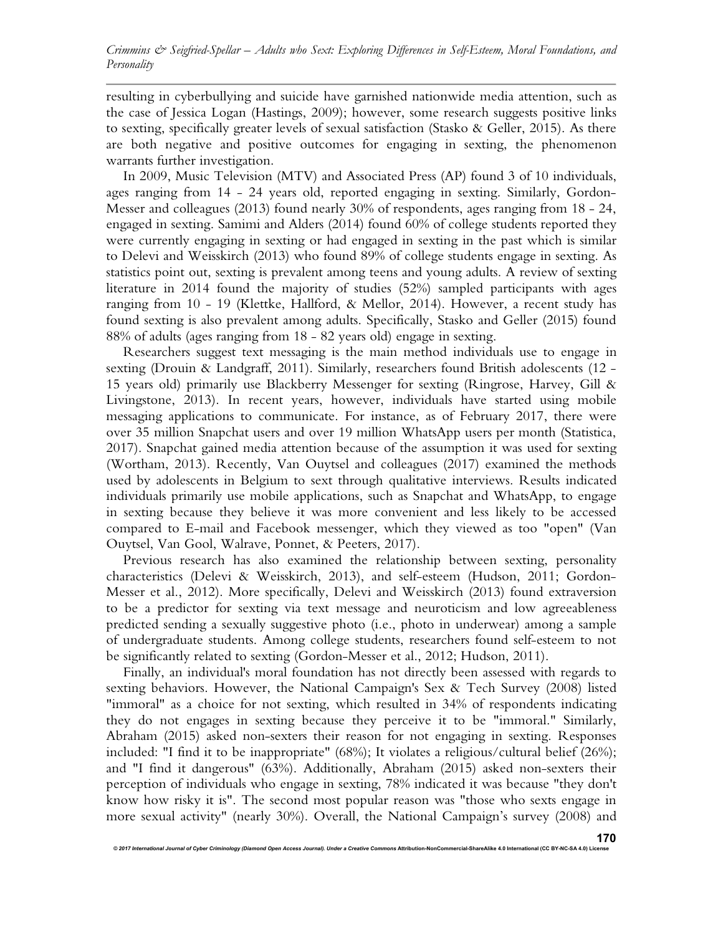resulting in cyberbullying and suicide have garnished nationwide media attention, such as the case of Jessica Logan (Hastings, 2009); however, some research suggests positive links to sexting, specifically greater levels of sexual satisfaction (Stasko & Geller, 2015). As there are both negative and positive outcomes for engaging in sexting, the phenomenon warrants further investigation.

In 2009, Music Television (MTV) and Associated Press (AP) found 3 of 10 individuals, ages ranging from 14 - 24 years old, reported engaging in sexting. Similarly, Gordon-Messer and colleagues (2013) found nearly 30% of respondents, ages ranging from 18 - 24, engaged in sexting. Samimi and Alders (2014) found 60% of college students reported they were currently engaging in sexting or had engaged in sexting in the past which is similar to Delevi and Weisskirch (2013) who found 89% of college students engage in sexting. As statistics point out, sexting is prevalent among teens and young adults. A review of sexting literature in 2014 found the majority of studies (52%) sampled participants with ages ranging from 10 - 19 (Klettke, Hallford, & Mellor, 2014). However, a recent study has found sexting is also prevalent among adults. Specifically, Stasko and Geller (2015) found 88% of adults (ages ranging from 18 - 82 years old) engage in sexting.

Researchers suggest text messaging is the main method individuals use to engage in sexting (Drouin & Landgraff, 2011). Similarly, researchers found British adolescents (12 - 15 years old) primarily use Blackberry Messenger for sexting (Ringrose, Harvey, Gill & Livingstone, 2013). In recent years, however, individuals have started using mobile messaging applications to communicate. For instance, as of February 2017, there were over 35 million Snapchat users and over 19 million WhatsApp users per month (Statistica, 2017). Snapchat gained media attention because of the assumption it was used for sexting (Wortham, 2013). Recently, Van Ouytsel and colleagues (2017) examined the methods used by adolescents in Belgium to sext through qualitative interviews. Results indicated individuals primarily use mobile applications, such as Snapchat and WhatsApp, to engage in sexting because they believe it was more convenient and less likely to be accessed compared to E-mail and Facebook messenger, which they viewed as too "open" (Van Ouytsel, Van Gool, Walrave, Ponnet, & Peeters, 2017).

Previous research has also examined the relationship between sexting, personality characteristics (Delevi & Weisskirch, 2013), and self-esteem (Hudson, 2011; Gordon-Messer et al., 2012). More specifically, Delevi and Weisskirch (2013) found extraversion to be a predictor for sexting via text message and neuroticism and low agreeableness predicted sending a sexually suggestive photo (i.e., photo in underwear) among a sample of undergraduate students. Among college students, researchers found self-esteem to not be significantly related to sexting (Gordon-Messer et al., 2012; Hudson, 2011).

Finally, an individual's moral foundation has not directly been assessed with regards to sexting behaviors. However, the National Campaign's Sex & Tech Survey (2008) listed "immoral" as a choice for not sexting, which resulted in 34% of respondents indicating they do not engages in sexting because they perceive it to be "immoral." Similarly, Abraham (2015) asked non-sexters their reason for not engaging in sexting. Responses included: "I find it to be inappropriate" (68%); It violates a religious/cultural belief (26%); and "I find it dangerous" (63%). Additionally, Abraham (2015) asked non-sexters their perception of individuals who engage in sexting, 78% indicated it was because "they don't know how risky it is". The second most popular reason was "those who sexts engage in more sexual activity" (nearly 30%). Overall, the National Campaign's survey (2008) and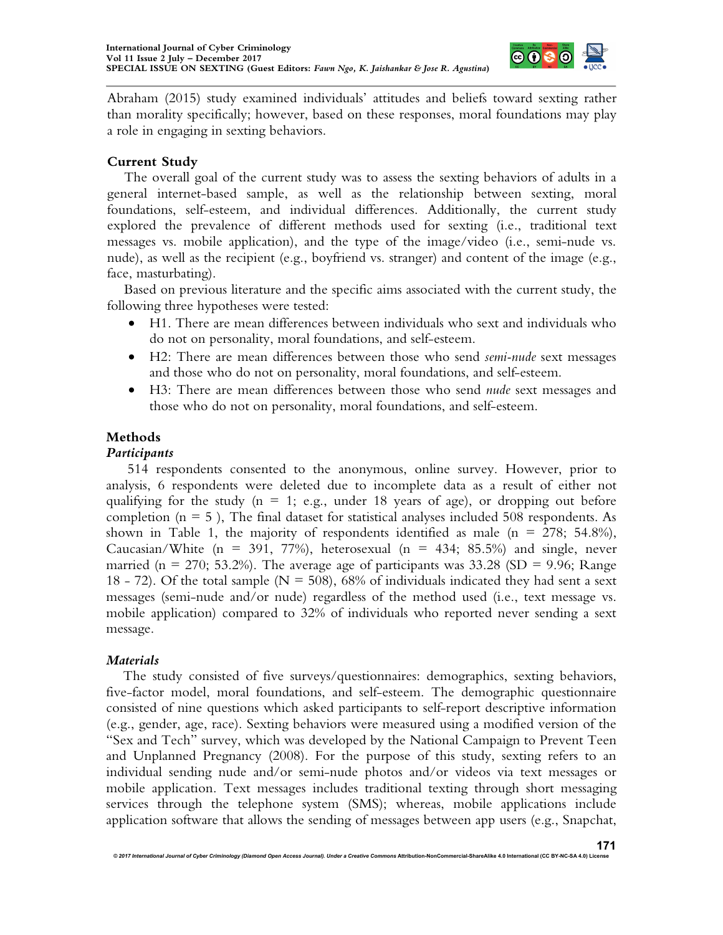

Abraham (2015) study examined individuals' attitudes and beliefs toward sexting rather than morality specifically; however, based on these responses, moral foundations may play a role in engaging in sexting behaviors.

### **Current Study**

The overall goal of the current study was to assess the sexting behaviors of adults in a general internet-based sample, as well as the relationship between sexting, moral foundations, self-esteem, and individual differences. Additionally, the current study explored the prevalence of different methods used for sexting (i.e., traditional text messages vs. mobile application), and the type of the image/video (i.e., semi-nude vs. nude), as well as the recipient (e.g., boyfriend vs. stranger) and content of the image (e.g., face, masturbating).

Based on previous literature and the specific aims associated with the current study, the following three hypotheses were tested:

- H1. There are mean differences between individuals who sext and individuals who do not on personality, moral foundations, and self-esteem.
- H2: There are mean differences between those who send *semi-nude* sext messages and those who do not on personality, moral foundations, and self-esteem.
- H3: There are mean differences between those who send *nude* sext messages and those who do not on personality, moral foundations, and self-esteem.

#### **Methods**

#### *Participants*

514 respondents consented to the anonymous, online survey. However, prior to analysis, 6 respondents were deleted due to incomplete data as a result of either not qualifying for the study ( $n = 1$ ; e.g., under 18 years of age), or dropping out before completion ( $n = 5$ ), The final dataset for statistical analyses included 508 respondents. As shown in Table 1, the majority of respondents identified as male  $(n = 278; 54.8\%)$ , Caucasian/White (n = 391, 77%), heterosexual (n = 434; 85.5%) and single, never married ( $n = 270$ ; 53.2%). The average age of participants was 33.28 (SD = 9.96; Range 18 - 72). Of the total sample ( $N = 508$ ), 68% of individuals indicated they had sent a sext messages (semi-nude and/or nude) regardless of the method used (i.e., text message vs. mobile application) compared to 32% of individuals who reported never sending a sext message.

#### *Materials*

The study consisted of five surveys/questionnaires: demographics, sexting behaviors, five-factor model, moral foundations, and self-esteem. The demographic questionnaire consisted of nine questions which asked participants to self-report descriptive information (e.g., gender, age, race). Sexting behaviors were measured using a modified version of the "Sex and Tech" survey, which was developed by the National Campaign to Prevent Teen and Unplanned Pregnancy (2008). For the purpose of this study, sexting refers to an individual sending nude and/or semi-nude photos and/or videos via text messages or mobile application. Text messages includes traditional texting through short messaging services through the telephone system (SMS); whereas, mobile applications include application software that allows the sending of messages between app users (e.g., Snapchat,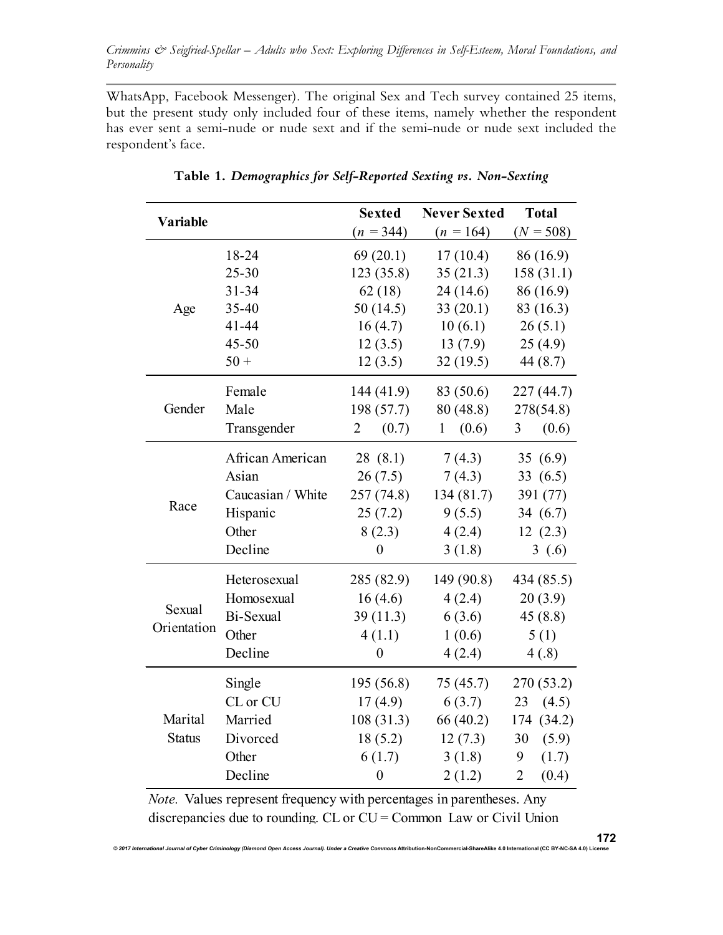WhatsApp, Facebook Messenger). The original Sex and Tech survey contained 25 items, but the present study only included four of these items, namely whether the respondent has ever sent a semi-nude or nude sext and if the semi-nude or nude sext included the respondent's face.

| <b>Variable</b> |                   | <b>Sexted</b>           | <b>Never Sexted</b>   | <b>Total</b>            |  |
|-----------------|-------------------|-------------------------|-----------------------|-------------------------|--|
|                 |                   | $(n = 344)$             | $(n = 164)$           | $(N = 508)$             |  |
|                 | 18-24             | 69(20.1)                | 17(10.4)              | 86 (16.9)               |  |
|                 | $25 - 30$         | 123 (35.8)              | 35(21.3)              | 158(31.1)               |  |
|                 | $31 - 34$         | 62(18)                  | 24(14.6)              | 86 (16.9)               |  |
| Age             | 35-40             | 50(14.5)                | 33(20.1)              | 83 (16.3)               |  |
|                 | $41 - 44$         | 16(4.7)                 | 10(6.1)               | 26(5.1)                 |  |
|                 | $45 - 50$         | 12(3.5)                 | 13(7.9)               | 25(4.9)                 |  |
|                 | $50 +$            | 12(3.5)                 | 32(19.5)              | 44(8.7)                 |  |
|                 | Female            | 144 (41.9)              | 83 (50.6)             | 227(44.7)               |  |
| Gender          | Male              | 198 (57.7)              | 80 (48.8)             | 278(54.8)               |  |
|                 | Transgender       | (0.7)<br>$\overline{2}$ | (0.6)<br>$\mathbf{1}$ | (0.6)<br>3              |  |
|                 | African American  | 28 (8.1)                | 7(4.3)                | 35(6.9)                 |  |
|                 | Asian             | 26(7.5)                 | 7(4.3)                | 33(6.5)                 |  |
|                 | Caucasian / White | 257(74.8)               | 134 (81.7)            | 391 (77)                |  |
| Race            | Hispanic          | 25(7.2)                 | 9(5.5)                | 34 $(6.7)$              |  |
|                 | Other             | 8(2.3)                  | 4(2.4)                | 12(2.3)                 |  |
|                 | Decline           | $\boldsymbol{0}$        | 3(1.8)                | 3(0.6)                  |  |
|                 | Heterosexual      | 285 (82.9)              | 149 (90.8)            | 434 (85.5)              |  |
|                 | Homosexual        | 16(4.6)                 | 4(2.4)                | 20(3.9)                 |  |
| Sexual          | Bi-Sexual         | 39(11.3)                | 6(3.6)                | 45(8.8)                 |  |
| Orientation     | Other             | 4(1.1)                  | 1(0.6)                | 5(1)                    |  |
|                 | Decline           | $\boldsymbol{0}$        | 4(2.4)                | 4(.8)                   |  |
|                 | Single            | 195 (56.8)              | 75(45.7)              | 270 (53.2)              |  |
|                 | CL or CU          | 17(4.9)                 | 6(3.7)                | 23<br>(4.5)             |  |
| Marital         | Married           | 108(31.3)               | 66 (40.2)             | 174 (34.2)              |  |
| <b>Status</b>   | Divorced          | 18(5.2)                 | 12(7.3)               | 30<br>(5.9)             |  |
|                 | Other             | 6(1.7)                  | 3(1.8)                | 9<br>(1.7)              |  |
|                 | Decline           | $\boldsymbol{0}$        | 2(1.2)                | $\overline{2}$<br>(0.4) |  |

**Table 1.** *Demographics for Self-Reported Sexting vs. Non-Sexting*

*Note.* Values represent frequency with percentages in parentheses. Any discrepancies due to rounding. CL or CU = Common Law or Civil Union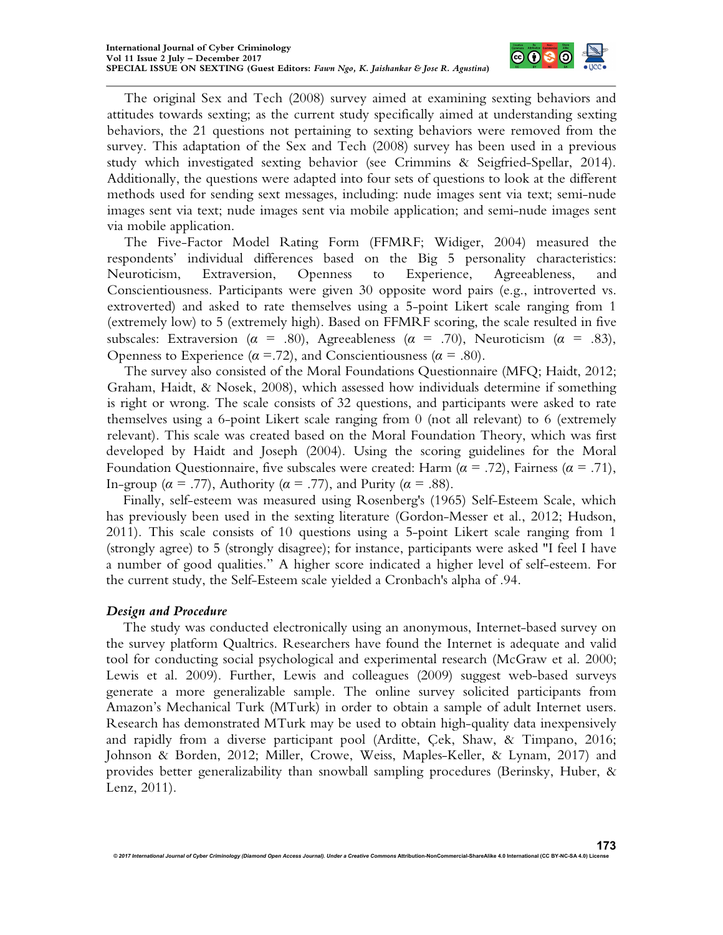

The original Sex and Tech (2008) survey aimed at examining sexting behaviors and attitudes towards sexting; as the current study specifically aimed at understanding sexting behaviors, the 21 questions not pertaining to sexting behaviors were removed from the survey. This adaptation of the Sex and Tech (2008) survey has been used in a previous study which investigated sexting behavior (see Crimmins & Seigfried-Spellar, 2014). Additionally, the questions were adapted into four sets of questions to look at the different methods used for sending sext messages, including: nude images sent via text; semi-nude images sent via text; nude images sent via mobile application; and semi-nude images sent via mobile application.

The Five-Factor Model Rating Form (FFMRF; Widiger, 2004) measured the respondents' individual differences based on the Big 5 personality characteristics: Neuroticism, Extraversion, Openness to Experience, Agreeableness, and Conscientiousness. Participants were given 30 opposite word pairs (e.g., introverted vs. extroverted) and asked to rate themselves using a 5-point Likert scale ranging from 1 (extremely low) to 5 (extremely high). Based on FFMRF scoring, the scale resulted in five subscales: Extraversion ( $\alpha = .80$ ), Agreeableness ( $\alpha = .70$ ), Neuroticism ( $\alpha = .83$ ), Openness to Experience ( $\alpha$  = .72), and Conscientiousness ( $\alpha$  = .80).

The survey also consisted of the Moral Foundations Questionnaire (MFQ; Haidt, 2012; Graham, Haidt, & Nosek, 2008), which assessed how individuals determine if something is right or wrong. The scale consists of 32 questions, and participants were asked to rate themselves using a 6-point Likert scale ranging from 0 (not all relevant) to 6 (extremely relevant). This scale was created based on the Moral Foundation Theory, which was first developed by Haidt and Joseph (2004). Using the scoring guidelines for the Moral Foundation Questionnaire, five subscales were created: Harm ( $\alpha$  = .72), Fairness ( $\alpha$  = .71), In-group ( $\alpha$  = .77), Authority ( $\alpha$  = .77), and Purity ( $\alpha$  = .88).

Finally, self-esteem was measured using Rosenberg's (1965) Self-Esteem Scale, which has previously been used in the sexting literature (Gordon-Messer et al., 2012; Hudson, 2011). This scale consists of 10 questions using a 5-point Likert scale ranging from 1 (strongly agree) to 5 (strongly disagree); for instance, participants were asked "I feel I have a number of good qualities." A higher score indicated a higher level of self-esteem. For the current study, the Self-Esteem scale yielded a Cronbach's alpha of .94.

#### *Design and Procedure*

The study was conducted electronically using an anonymous, Internet-based survey on the survey platform Qualtrics. Researchers have found the Internet is adequate and valid tool for conducting social psychological and experimental research (McGraw et al. 2000; Lewis et al. 2009). Further, Lewis and colleagues (2009) suggest web-based surveys generate a more generalizable sample. The online survey solicited participants from Amazon's Mechanical Turk (MTurk) in order to obtain a sample of adult Internet users. Research has demonstrated MTurk may be used to obtain high-quality data inexpensively and rapidly from a diverse participant pool (Arditte, Çek, Shaw, & Timpano, 2016; Johnson & Borden, 2012; Miller, Crowe, Weiss, Maples-Keller, & Lynam, 2017) and provides better generalizability than snowball sampling procedures (Berinsky, Huber, & Lenz, 2011).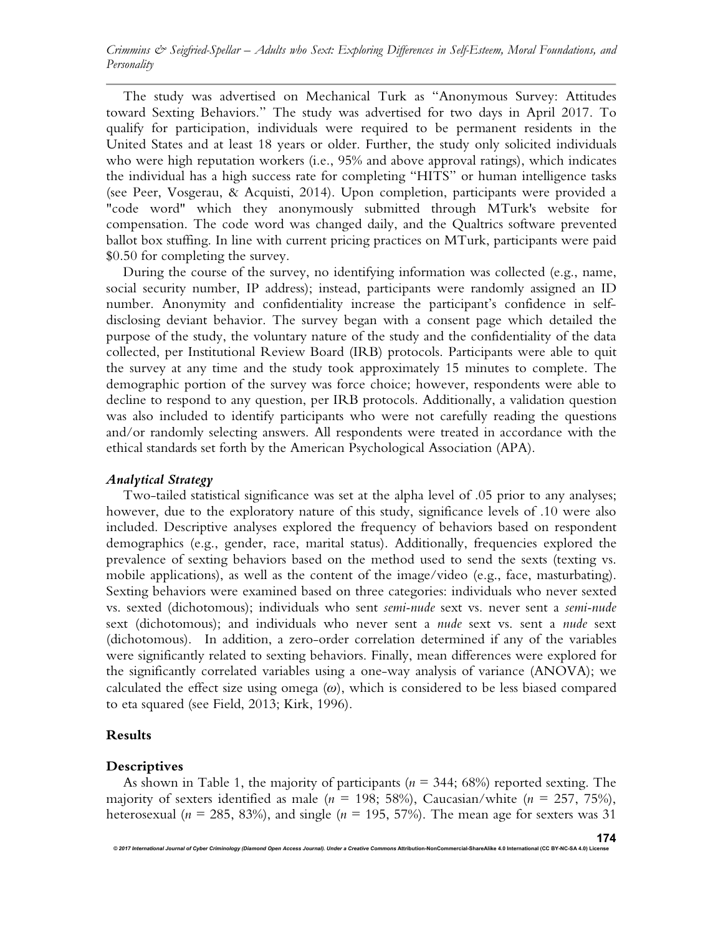The study was advertised on Mechanical Turk as "Anonymous Survey: Attitudes toward Sexting Behaviors." The study was advertised for two days in April 2017. To qualify for participation, individuals were required to be permanent residents in the United States and at least 18 years or older. Further, the study only solicited individuals who were high reputation workers (i.e., 95% and above approval ratings), which indicates the individual has a high success rate for completing "HITS" or human intelligence tasks (see Peer, Vosgerau, & Acquisti, 2014). Upon completion, participants were provided a "code word" which they anonymously submitted through MTurk's website for compensation. The code word was changed daily, and the Qualtrics software prevented ballot box stuffing. In line with current pricing practices on MTurk, participants were paid \$0.50 for completing the survey.

During the course of the survey, no identifying information was collected (e.g., name, social security number, IP address); instead, participants were randomly assigned an ID number. Anonymity and confidentiality increase the participant's confidence in selfdisclosing deviant behavior. The survey began with a consent page which detailed the purpose of the study, the voluntary nature of the study and the confidentiality of the data collected, per Institutional Review Board (IRB) protocols. Participants were able to quit the survey at any time and the study took approximately 15 minutes to complete. The demographic portion of the survey was force choice; however, respondents were able to decline to respond to any question, per IRB protocols. Additionally, a validation question was also included to identify participants who were not carefully reading the questions and/or randomly selecting answers. All respondents were treated in accordance with the ethical standards set forth by the American Psychological Association (APA).

#### *Analytical Strategy*

Two-tailed statistical significance was set at the alpha level of .05 prior to any analyses; however, due to the exploratory nature of this study, significance levels of .10 were also included. Descriptive analyses explored the frequency of behaviors based on respondent demographics (e.g., gender, race, marital status). Additionally, frequencies explored the prevalence of sexting behaviors based on the method used to send the sexts (texting vs. mobile applications), as well as the content of the image/video (e.g., face, masturbating). Sexting behaviors were examined based on three categories: individuals who never sexted vs. sexted (dichotomous); individuals who sent *semi-nude* sext vs. never sent a *semi-nude* sext (dichotomous); and individuals who never sent a *nude* sext vs. sent a *nude* sext (dichotomous).In addition, a zero-order correlation determined if any of the variables were significantly related to sexting behaviors. Finally, mean differences were explored for the significantly correlated variables using a one-way analysis of variance (ANOVA); we calculated the effect size using omega (*ω*), which is considered to be less biased compared to eta squared (see Field, 2013; Kirk, 1996).

# **Results**

# **Descriptives**

As shown in Table 1, the majority of participants (*n* = 344; 68%) reported sexting. The majority of sexters identified as male (*n* = 198; 58%), Caucasian/white (*n* = 257, 75%), heterosexual ( $n = 285, 83\%$ ), and single ( $n = 195, 57\%$ ). The mean age for sexters was 31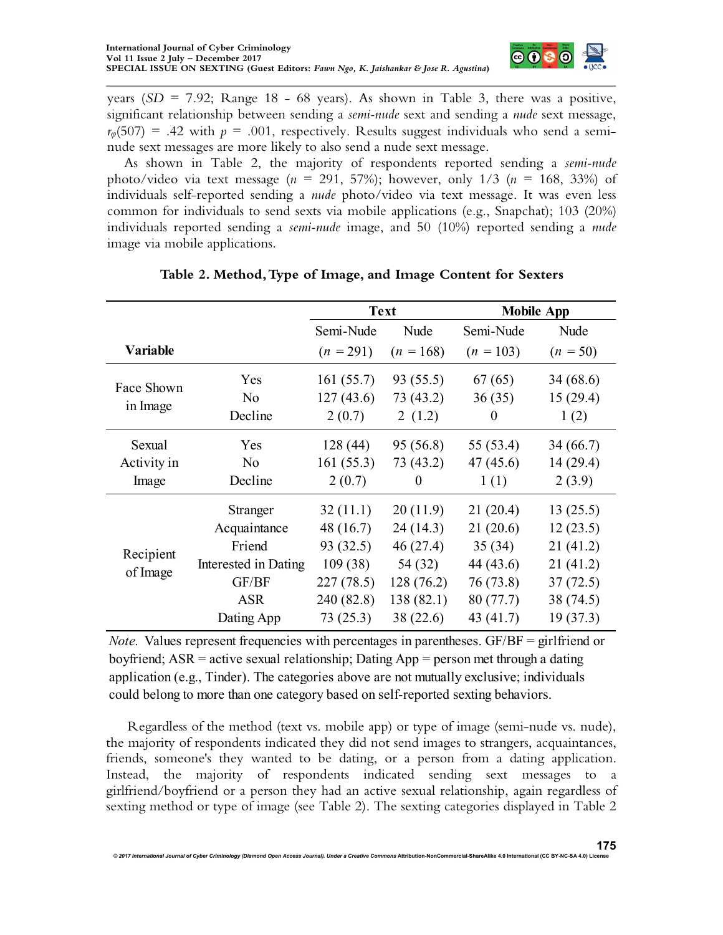

years  $(SD = 7.92$ ; Range 18 - 68 years). As shown in Table 3, there was a positive, significant relationship between sending a *semi-nude* sext and sending a *nude* sext message,  $r_{\varphi}(507) = .42$  with  $p = .001$ , respectively. Results suggest individuals who send a seminude sext messages are more likely to also send a nude sext message.

As shown in Table 2, the majority of respondents reported sending a *semi-nude* photo/video via text message (*n* = 291, 57%); however, only 1/3 (*n* = 168, 33%) of individuals self-reported sending a *nude* photo/video via text message. It was even less common for individuals to send sexts via mobile applications (e.g., Snapchat); 103 (20%) individuals reported sending a *semi-nude* image, and 50 (10%) reported sending a *nude* image via mobile applications.

|                       |                      | <b>Text</b> |             | <b>Mobile App</b> |            |  |
|-----------------------|----------------------|-------------|-------------|-------------------|------------|--|
|                       |                      | Semi-Nude   | Nude        | Semi-Nude         | Nude       |  |
| Variable              |                      | $(n = 291)$ | $(n = 168)$ | $(n = 103)$       | $(n = 50)$ |  |
| Face Shown            | Yes                  | 161(55.7)   | 93 (55.5)   | 67(65)            | 34(68.6)   |  |
| in Image              | N <sub>o</sub>       | 127(43.6)   | 73 (43.2)   | 36(35)            | 15(29.4)   |  |
|                       | Decline              | 2(0.7)      | 2(1.2)      | $\theta$          | 1(2)       |  |
| Sexual                | Yes                  | 128(44)     | 95 (56.8)   | 55 (53.4)         | 34 (66.7)  |  |
| Activity in<br>Image  | N <sub>o</sub>       | 161(55.3)   | 73 (43.2)   | 47(45.6)          | 14(29.4)   |  |
|                       | Decline              | 2(0.7)      | $\theta$    | 1(1)              | 2(3.9)     |  |
| Recipient<br>of Image | Stranger             | 32(11.1)    | 20(11.9)    | 21(20.4)          | 13(25.5)   |  |
|                       | Acquaintance         | 48 (16.7)   | 24 (14.3)   | 21(20.6)          | 12(23.5)   |  |
|                       | Friend               | 93(32.5)    | 46(27.4)    | 35(34)            | 21(41.2)   |  |
|                       | Interested in Dating | 109(38)     | 54 (32)     | 44 (43.6)         | 21(41.2)   |  |
|                       | GF/BF                | 227(78.5)   | 128(76.2)   | 76 (73.8)         | 37(72.5)   |  |
|                       | <b>ASR</b>           | 240 (82.8)  | 138(82.1)   | 80(77.7)          | 38 (74.5)  |  |
|                       | Dating App           | 73(25.3)    | 38 (22.6)   | 43 $(41.7)$       | 19(37.3)   |  |

# **Table 2. Method, Type of Image, and Image Content for Sexters**

could belong to more than one category based on self-reported sexting behaviors. *Note.* Values represent frequencies with percentages in parentheses. GF/BF = girlfriend or boyfriend; ASR = active sexual relationship; Dating App = person met through a dating application (e.g., Tinder). The categories above are not mutually exclusive; individuals

Regardless of the method (text vs. mobile app) or type of image (semi-nude vs. nude), the majority of respondents indicated they did not send images to strangers, acquaintances, friends, someone's they wanted to be dating, or a person from a dating application. Instead, the majority of respondents indicated sending sext messages to a girlfriend/boyfriend or a person they had an active sexual relationship, again regardless of sexting method or type of image (see Table 2). The sexting categories displayed in Table 2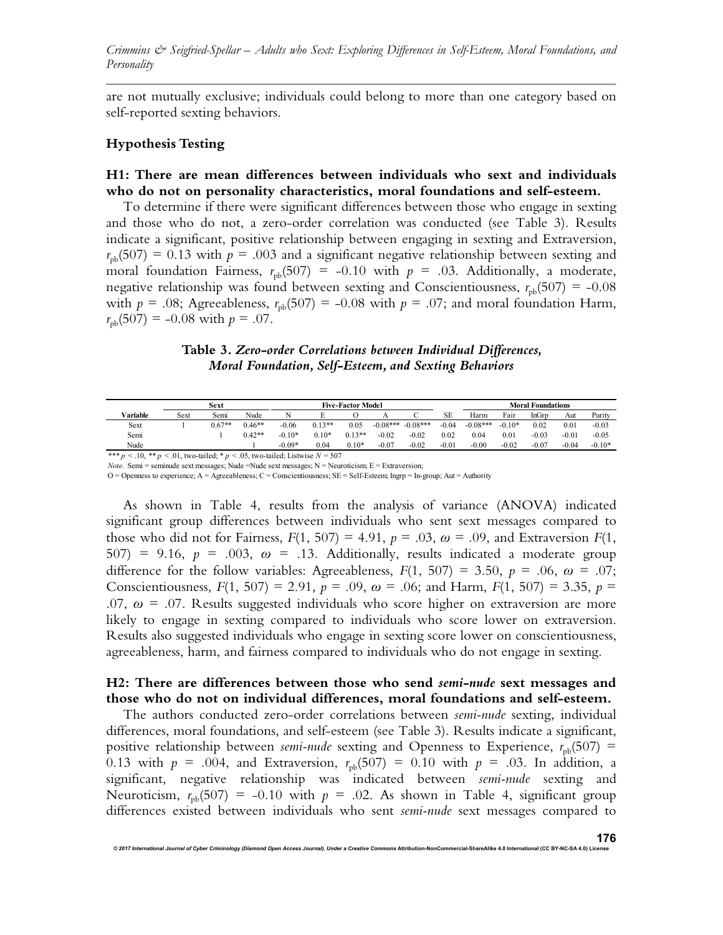are not mutually exclusive; individuals could belong to more than one category based on self-reported sexting behaviors.

#### **Hypothesis Testing**

#### **H1: There are mean differences between individuals who sext and individuals who do not on personality characteristics, moral foundations and self-esteem.**

To determine if there were significant differences between those who engage in sexting and those who do not, a zero-order correlation was conducted (see Table 3). Results indicate a significant, positive relationship between engaging in sexting and Extraversion,  $r_{\rm pb}(507) = 0.13$  with  $p = .003$  and a significant negative relationship between sexting and moral foundation Fairness,  $r_{pb}(507) = -0.10$  with  $p = .03$ . Additionally, a moderate, negative relationship was found between sexting and Conscientiousness,  $r_{ph}(507) = -0.08$ with  $p = .08$ ; Agreeableness,  $r_{pb}(507) = -0.08$  with  $p = .07$ ; and moral foundation Harm,  $r_{\rm pb}(507) = -0.08$  with  $p = .07$ .

#### **Table 3.** *Zero-order Correlations between Individual Differences, Moral Foundation, Self-Esteem, and Sexting Behaviors*

|          |      | Sext     |          | <b>Five-Factor Model</b> |          |          |            | <b>Moral Foundations</b> |         |            |          |         |         |          |
|----------|------|----------|----------|--------------------------|----------|----------|------------|--------------------------|---------|------------|----------|---------|---------|----------|
| Variable | Sext | Semi     | Nude     | N                        |          |          |            |                          | SЕ      | Harm       | Fair     | InGrp   | Aut     | Purity   |
| Sext     |      | $0.67**$ | $0.46**$ | $-0.06$                  | $0.13**$ | 0.05     | $-0.08***$ | $-0.08***$               | $-0.04$ | $-0.08***$ | $-0.10*$ | 0.02    | 0.01    | $-0.03$  |
| Semi     |      |          | $0.42**$ | $-0.10*$                 | $0.10*$  | $0.13**$ | $-0.02$    | $-0.02$                  | 0.02    | 0.04       | 0.01     | $-0.03$ | $-0.01$ | $-0.05$  |
| Nude     |      |          |          | $-0.09*$                 | 0.04     | $0.10*$  | $-0.07$    | $-0.02$                  | $-0.01$ | $-0.00$    | $-0.02$  | $-0.07$ | $-0.04$ | $-0.10*$ |
|          |      |          |          |                          |          |          |            |                          |         |            |          |         |         |          |

\*\*\* *p* < .10, \*\* *p* < .01, two-tailed; \* *p* < .05, two-tailed; Listwise *N* = 507

*Note.* Semi = seminude sext messages; Nude =Nude sext messages; N = Neuroticism; E = Extraversion;

 $O =$  Openness to experience; A = Agreeableness; C = Conscientiousness; SE = Self-Esteem; Ingrp = In-group; Aut = Authority

As shown in Table 4, results from the analysis of variance (ANOVA) indicated significant group differences between individuals who sent sext messages compared to those who did not for Fairness,  $F(1, 507) = 4.91$ ,  $p = .03$ ,  $\omega = .09$ , and Extraversion  $F(1, 507) = 4.91$ 507) = 9.16,  $p = .003$ ,  $\omega = .13$ . Additionally, results indicated a moderate group difference for the follow variables: Agreeableness,  $F(1, 507) = 3.50$ ,  $p = .06$ ,  $\omega = .07$ ; Conscientiousness,  $F(1, 507) = 2.91$ ,  $p = .09$ ,  $\omega = .06$ ; and Harm,  $F(1, 507) = 3.35$ ,  $p =$ .07,  $\omega$  = .07. Results suggested individuals who score higher on extraversion are more likely to engage in sexting compared to individuals who score lower on extraversion. Results also suggested individuals who engage in sexting score lower on conscientiousness, agreeableness, harm, and fairness compared to individuals who do not engage in sexting.

#### **H2: There are differences between those who send** *semi-nude* **sext messages and those who do not on individual differences, moral foundations and self-esteem.**

The authors conducted zero-order correlations between *semi-nude* sexting, individual differences, moral foundations, and self-esteem (see Table 3). Results indicate a significant, positive relationship between *semi-nude* sexting and Openness to Experience,  $r_{\text{nb}}(507)$  = 0.13 with  $p = .004$ , and Extraversion,  $r_{pb}(507) = 0.10$  with  $p = .03$ . In addition, a significant, negative relationship was indicated between *semi-nude* sexting and Neuroticism,  $r_{\rm pb}(507) = -0.10$  with  $p = .02$ . As shown in Table 4, significant group differences existed between individuals who sent *semi-nude* sext messages compared to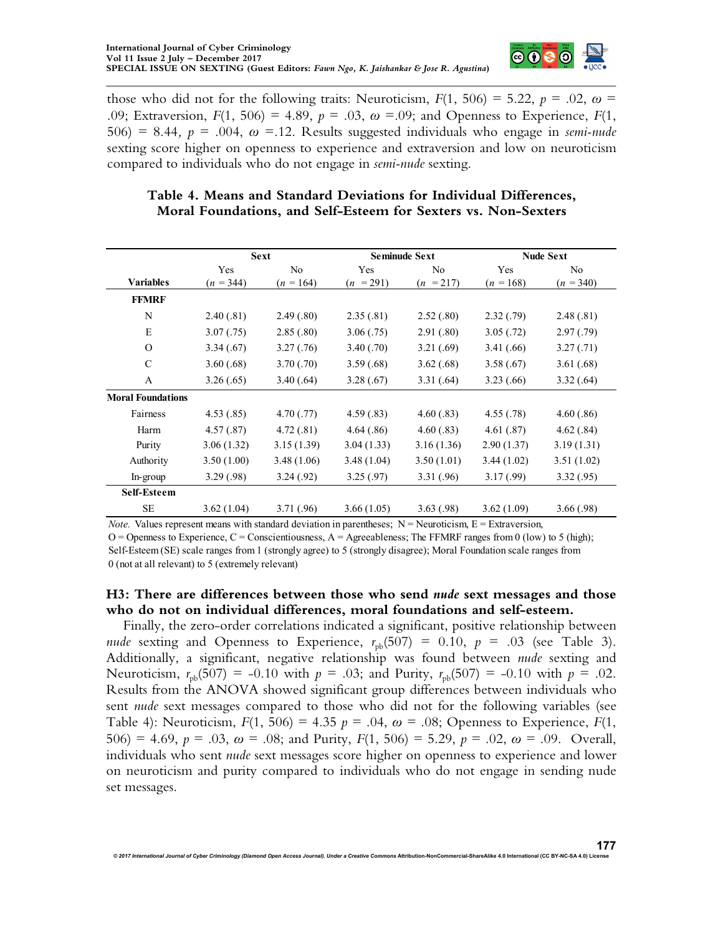

those who did not for the following traits: Neuroticism,  $F(1, 506) = 5.22$ ,  $p = .02$ ,  $\omega =$ .09; Extraversion,  $F(1, 506) = 4.89$ ,  $p = .03$ ,  $\omega = .09$ ; and Openness to Experience,  $F(1, 506) = 4.89$  $506$  = 8.44,  $p = .004$ ,  $\omega = 12$ . Results suggested individuals who engage in *semi-nude* sexting score higher on openness to experience and extraversion and low on neuroticism compared to individuals who do not engage in *semi-nude* sexting.

# **Table 4. Means and Standard Deviations for Individual Differences, Moral Foundations, and Self-Esteem for Sexters vs. Non-Sexters**

|                          |             | <b>Sext</b>    |             | <b>Seminude Sext</b> | <b>Nude Sext</b> |             |  |
|--------------------------|-------------|----------------|-------------|----------------------|------------------|-------------|--|
|                          | Yes         | N <sub>0</sub> | Yes         | No                   | Yes              | No          |  |
| <b>Variables</b>         | $(n = 344)$ | $(n = 164)$    | $(n = 291)$ | $(n = 217)$          | $(n = 168)$      | $(n = 340)$ |  |
| <b>FFMRF</b>             |             |                |             |                      |                  |             |  |
| N                        | 2.40(.81)   | 2.49(.80)      | 2.35(.81)   | 2.52(.80)            | 2.32(.79)        | 2.48(.81)   |  |
| E                        | 3.07(.75)   | 2.85(.80)      | 3.06(.75)   | 2.91(.80)            | 3.05(.72)        | 2.97(.79)   |  |
| $\Omega$                 | 3.34(.67)   | 3.27(.76)      | 3.40(.70)   | 3.21(.69)            | 3.41(.66)        | 3.27(.71)   |  |
| C                        | 3.60(.68)   | 3.70(.70)      | 3.59(.68)   | 3.62(.68)            | 3.58(.67)        | 3.61(.68)   |  |
| A                        | 3.26(.65)   | 3.40(.64)      | 3.28(.67)   | 3.31(.64)            | 3.23(.66)        | 3.32(.64)   |  |
| <b>Moral Foundations</b> |             |                |             |                      |                  |             |  |
| Fairness                 | 4.53(.85)   | 4.70(.77)      | 4.59(.83)   | 4.60(.83)            | 4.55(.78)        | 4.60(.86)   |  |
| Harm                     | 4.57(.87)   | 4.72(.81)      | 4.64(.86)   | 4.60(.83)            | 4.61(.87)        | 4.62(.84)   |  |
| Purity                   | 3.06(1.32)  | 3.15(1.39)     | 3.04(1.33)  | 3.16(1.36)           | 2.90(1.37)       | 3.19(1.31)  |  |
| Authority                | 3.50(1.00)  | 3.48(1.06)     | 3.48(1.04)  | 3.50(1.01)           | 3.44(1.02)       | 3.51(1.02)  |  |
| $In-group$               | 3.29(.98)   | 3.24(.92)      | 3.25(.97)   | 3.31(.96)            | 3.17(0.99)       | 3.32(.95)   |  |
| <b>Self-Esteem</b>       |             |                |             |                      |                  |             |  |
| <b>SE</b>                | 3.62(1.04)  | 3.71(.96)      | 3.66(1.05)  | 3.63(.98)            | 3.62(1.09)       | 3.66(.98)   |  |

*Note.* Values represent means with standard deviation in parentheses;  $N =$  Neuroticism,  $E =$  Extraversion,

 $O =$  Openness to Experience,  $C =$  Conscientiousness,  $A =$  Agreeableness; The FFMRF ranges from 0 (low) to 5 (high); Self-Esteem (SE) scale ranges from 1 (strongly agree) to 5 (strongly disagree); Moral Foundation scale ranges from 0 (not at all relevant) to 5 (extremely relevant)

# **H3: There are differences between those who send** *nude* **sext messages and those who do not on individual differences, moral foundations and self-esteem.**

Finally, the zero-order correlations indicated a significant, positive relationship between *nude* sexting and Openness to Experience,  $r_{\text{pb}}(507) = 0.10$ ,  $p = .03$  (see Table 3). Additionally, a significant, negative relationship was found between *nude* sexting and Neuroticism,  $r_{\text{nb}}(507) = -0.10$  with  $p = .03$ ; and Purity,  $r_{\text{nb}}(507) = -0.10$  with  $p = .02$ . Results from the ANOVA showed significant group differences between individuals who sent *nude* sext messages compared to those who did not for the following variables (see Table 4): Neuroticism,  $F(1, 506) = 4.35$   $p = .04$ ,  $\omega = .08$ ; Openness to Experience,  $F(1, 506) = 4.35$   $p = .04$ ,  $\omega = .08$ ; Openness to Experience,  $F(1, 506) = 4.35$ 506) = 4.69,  $p = .03$ ,  $\omega = .08$ ; and Purity,  $F(1, 506) = 5.29$ ,  $p = .02$ ,  $\omega = .09$ . Overall, individuals who sent *nude* sext messages score higher on openness to experience and lower on neuroticism and purity compared to individuals who do not engage in sending nude set messages.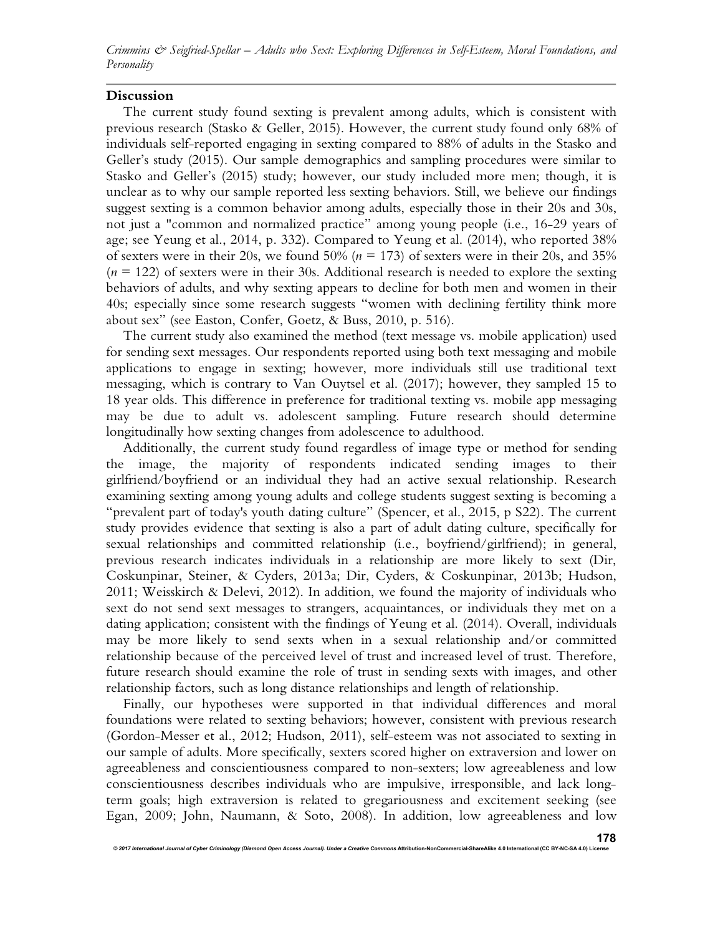*Crimmins & Seigfried-Spellar – Adults who Sext: Exploring Differences in Self-Esteem, Moral Foundations, and Personality* 

#### **Discussion**

The current study found sexting is prevalent among adults, which is consistent with previous research (Stasko & Geller, 2015). However, the current study found only 68% of individuals self-reported engaging in sexting compared to 88% of adults in the Stasko and Geller's study (2015). Our sample demographics and sampling procedures were similar to Stasko and Geller's (2015) study; however, our study included more men; though, it is unclear as to why our sample reported less sexting behaviors. Still, we believe our findings suggest sexting is a common behavior among adults, especially those in their 20s and 30s, not just a "common and normalized practice" among young people (i.e., 16-29 years of age; see Yeung et al., 2014, p. 332). Compared to Yeung et al. (2014), who reported 38% of sexters were in their 20s, we found 50% (*n* = 173) of sexters were in their 20s, and 35%  $(n = 122)$  of sexters were in their 30s. Additional research is needed to explore the sexting behaviors of adults, and why sexting appears to decline for both men and women in their 40s; especially since some research suggests "women with declining fertility think more about sex" (see Easton, Confer, Goetz, & Buss, 2010, p. 516).

The current study also examined the method (text message vs. mobile application) used for sending sext messages. Our respondents reported using both text messaging and mobile applications to engage in sexting; however, more individuals still use traditional text messaging, which is contrary to Van Ouytsel et al. (2017); however, they sampled 15 to 18 year olds. This difference in preference for traditional texting vs. mobile app messaging may be due to adult vs. adolescent sampling. Future research should determine longitudinally how sexting changes from adolescence to adulthood.

Additionally, the current study found regardless of image type or method for sending the image, the majority of respondents indicated sending images to their girlfriend/boyfriend or an individual they had an active sexual relationship. Research examining sexting among young adults and college students suggest sexting is becoming a "prevalent part of today's youth dating culture" (Spencer, et al., 2015, p S22). The current study provides evidence that sexting is also a part of adult dating culture, specifically for sexual relationships and committed relationship (i.e., boyfriend/girlfriend); in general, previous research indicates individuals in a relationship are more likely to sext (Dir, Coskunpinar, Steiner, & Cyders, 2013a; Dir, Cyders, & Coskunpinar, 2013b; Hudson, 2011; Weisskirch & Delevi, 2012). In addition, we found the majority of individuals who sext do not send sext messages to strangers, acquaintances, or individuals they met on a dating application; consistent with the findings of Yeung et al. (2014). Overall, individuals may be more likely to send sexts when in a sexual relationship and/or committed relationship because of the perceived level of trust and increased level of trust. Therefore, future research should examine the role of trust in sending sexts with images, and other relationship factors, such as long distance relationships and length of relationship.

Finally, our hypotheses were supported in that individual differences and moral foundations were related to sexting behaviors; however, consistent with previous research (Gordon-Messer et al., 2012; Hudson, 2011), self-esteem was not associated to sexting in our sample of adults. More specifically, sexters scored higher on extraversion and lower on agreeableness and conscientiousness compared to non-sexters; low agreeableness and low conscientiousness describes individuals who are impulsive, irresponsible, and lack longterm goals; high extraversion is related to gregariousness and excitement seeking (see Egan, 2009; John, Naumann, & Soto, 2008). In addition, low agreeableness and low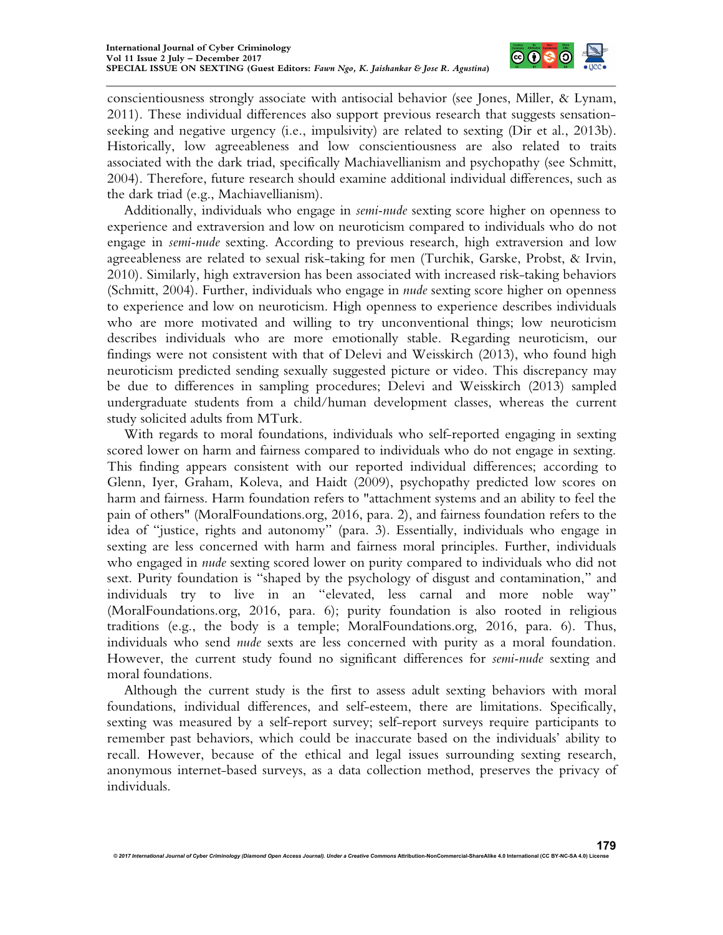

conscientiousness strongly associate with antisocial behavior (see Jones, Miller, & Lynam, 2011). These individual differences also support previous research that suggests sensationseeking and negative urgency (i.e., impulsivity) are related to sexting (Dir et al., 2013b). Historically, low agreeableness and low conscientiousness are also related to traits associated with the dark triad, specifically Machiavellianism and psychopathy (see Schmitt, 2004). Therefore, future research should examine additional individual differences, such as the dark triad (e.g., Machiavellianism).

Additionally, individuals who engage in *semi-nude* sexting score higher on openness to experience and extraversion and low on neuroticism compared to individuals who do not engage in *semi-nude* sexting. According to previous research, high extraversion and low agreeableness are related to sexual risk-taking for men (Turchik, Garske, Probst, & Irvin, 2010). Similarly, high extraversion has been associated with increased risk-taking behaviors (Schmitt, 2004). Further, individuals who engage in *nude* sexting score higher on openness to experience and low on neuroticism. High openness to experience describes individuals who are more motivated and willing to try unconventional things; low neuroticism describes individuals who are more emotionally stable. Regarding neuroticism, our findings were not consistent with that of Delevi and Weisskirch (2013), who found high neuroticism predicted sending sexually suggested picture or video. This discrepancy may be due to differences in sampling procedures; Delevi and Weisskirch (2013) sampled undergraduate students from a child/human development classes, whereas the current study solicited adults from MTurk.

With regards to moral foundations, individuals who self-reported engaging in sexting scored lower on harm and fairness compared to individuals who do not engage in sexting. This finding appears consistent with our reported individual differences; according to Glenn, Iyer, Graham, Koleva, and Haidt (2009), psychopathy predicted low scores on harm and fairness. Harm foundation refers to "attachment systems and an ability to feel the pain of others" (MoralFoundations.org, 2016, para. 2), and fairness foundation refers to the idea of "justice, rights and autonomy" (para. 3). Essentially, individuals who engage in sexting are less concerned with harm and fairness moral principles. Further, individuals who engaged in *nude* sexting scored lower on purity compared to individuals who did not sext. Purity foundation is "shaped by the psychology of disgust and contamination," and individuals try to live in an "elevated, less carnal and more noble way" (MoralFoundations.org, 2016, para. 6); purity foundation is also rooted in religious traditions (e.g., the body is a temple; MoralFoundations.org, 2016, para. 6). Thus, individuals who send *nude* sexts are less concerned with purity as a moral foundation. However, the current study found no significant differences for *semi-nude* sexting and moral foundations.

Although the current study is the first to assess adult sexting behaviors with moral foundations, individual differences, and self-esteem, there are limitations. Specifically, sexting was measured by a self-report survey; self-report surveys require participants to remember past behaviors, which could be inaccurate based on the individuals' ability to recall. However, because of the ethical and legal issues surrounding sexting research, anonymous internet-based surveys, as a data collection method, preserves the privacy of individuals.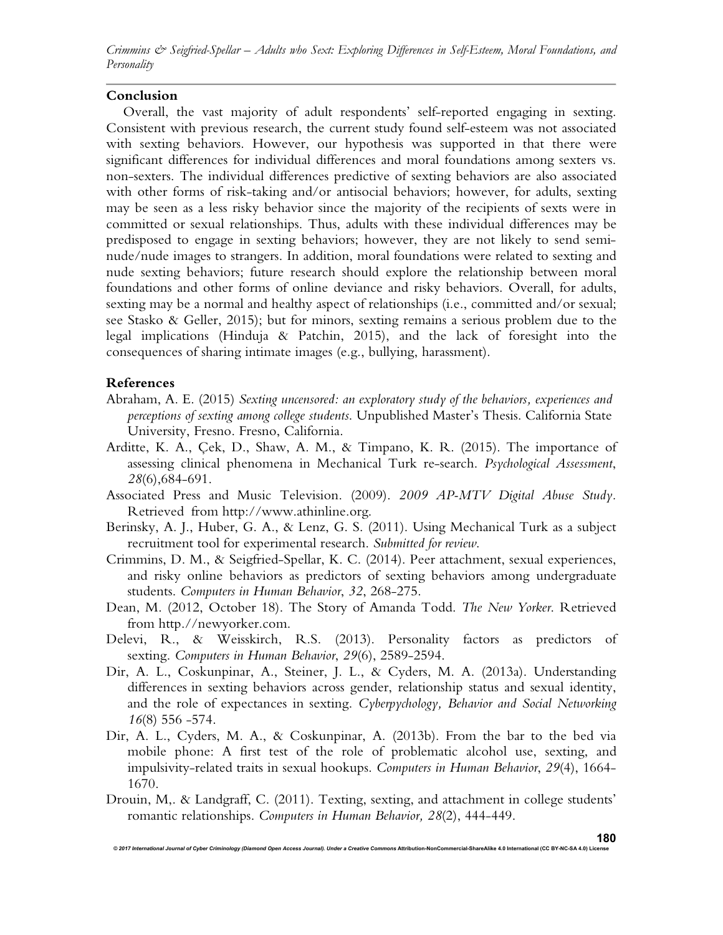*Crimmins & Seigfried-Spellar – Adults who Sext: Exploring Differences in Self-Esteem, Moral Foundations, and Personality* 

### **Conclusion**

Overall, the vast majority of adult respondents' self-reported engaging in sexting. Consistent with previous research, the current study found self-esteem was not associated with sexting behaviors. However, our hypothesis was supported in that there were significant differences for individual differences and moral foundations among sexters vs. non-sexters. The individual differences predictive of sexting behaviors are also associated with other forms of risk-taking and/or antisocial behaviors; however, for adults, sexting may be seen as a less risky behavior since the majority of the recipients of sexts were in committed or sexual relationships. Thus, adults with these individual differences may be predisposed to engage in sexting behaviors; however, they are not likely to send seminude/nude images to strangers. In addition, moral foundations were related to sexting and nude sexting behaviors; future research should explore the relationship between moral foundations and other forms of online deviance and risky behaviors. Overall, for adults, sexting may be a normal and healthy aspect of relationships (i.e., committed and/or sexual; see Stasko & Geller, 2015); but for minors, sexting remains a serious problem due to the legal implications (Hinduja & Patchin, 2015), and the lack of foresight into the consequences of sharing intimate images (e.g., bullying, harassment).

#### **References**

- Abraham, A. E. (2015) *Sexting uncensored: an exploratory study of the behaviors, experiences and perceptions of sexting among college students*. Unpublished Master's Thesis. California State University, Fresno. Fresno, California.
- Arditte, K. A., Çek, D., Shaw, A. M., & Timpano, K. R. (2015). The importance of assessing clinical phenomena in Mechanical Turk re-search. *Psychological Assessment*, *28*(6),684-691.
- Associated Press and Music Television. (2009). *2009 AP-MTV Digital Abuse Study.*  Retrieved from http://www.athinline.org.
- Berinsky, A. J., Huber, G. A., & Lenz, G. S. (2011). Using Mechanical Turk as a subject recruitment tool for experimental research. *Submitted for review*.
- Crimmins, D. M., & Seigfried-Spellar, K. C. (2014). Peer attachment, sexual experiences, and risky online behaviors as predictors of sexting behaviors among undergraduate students. *Computers in Human Behavior*, *32*, 268-275.
- Dean, M. (2012, October 18). The Story of Amanda Todd. *The New Yorker*. Retrieved from http.//newyorker.com.
- Delevi, R., & Weisskirch, R.S. (2013). Personality factors as predictors of sexting. *Computers in Human Behavior*, *29*(6), 2589-2594.
- Dir, A. L., Coskunpinar, A., Steiner, J. L., & Cyders, M. A. (2013a). Understanding differences in sexting behaviors across gender, relationship status and sexual identity, and the role of expectances in sexting. *Cyberpychology, Behavior and Social Networking 16*(8) 556 -574.
- Dir, A. L., Cyders, M. A., & Coskunpinar, A. (2013b). From the bar to the bed via mobile phone: A first test of the role of problematic alcohol use, sexting, and impulsivity-related traits in sexual hookups. *Computers in Human Behavior*, *29*(4), 1664- 1670.
- Drouin, M,. & Landgraff, C. (2011). Texting, sexting, and attachment in college students' romantic relationships. *Computers in Human Behavior, 28*(2), 444-449.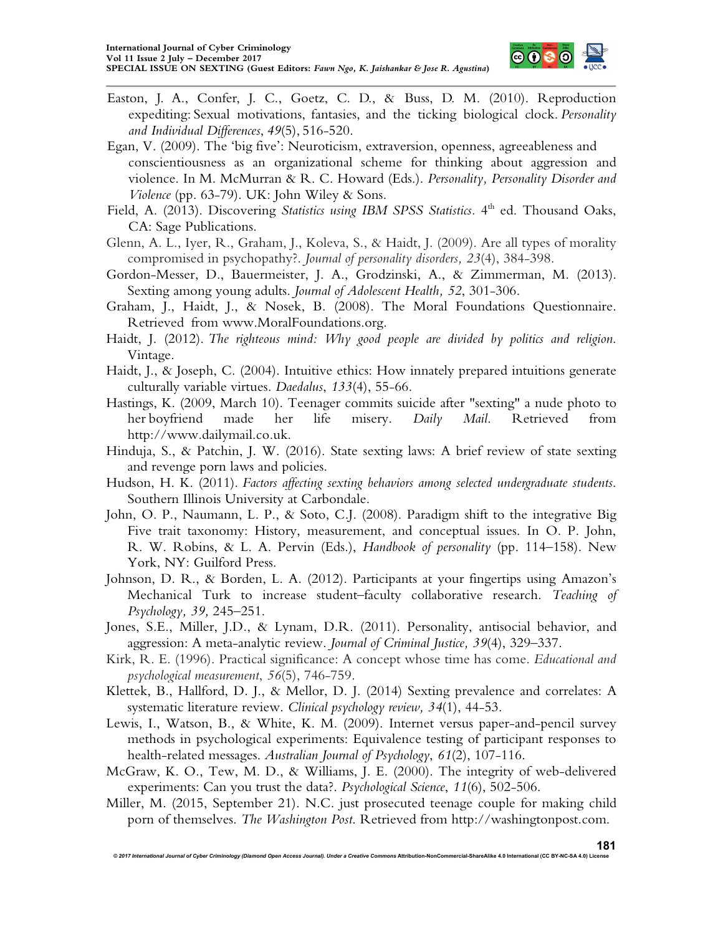

- Easton, J. A., Confer, J. C., Goetz, C. D., & Buss, D. M. (2010). Reproduction expediting: Sexual motivations, fantasies, and the ticking biological clock. *Personality and Individual Differences*, *49*(5), 516-520.
- Egan, V. (2009). The 'big five': Neuroticism, extraversion, openness, agreeableness and conscientiousness as an organizational scheme for thinking about aggression and violence. In M. McMurran & R. C. Howard (Eds.). *Personality, Personality Disorder and Violence* (pp. 63-79). UK: John Wiley & Sons.
- Field, A. (2013). Discovering *Statistics using IBM SPSS Statistics*. 4<sup>th</sup> ed. Thousand Oaks, CA: Sage Publications.
- Glenn, A. L., Iyer, R., Graham, J., Koleva, S., & Haidt, J. (2009). Are all types of morality compromised in psychopathy?. *Journal of personality disorders, 23*(4), 384-398.
- Gordon-Messer, D., Bauermeister, J. A., Grodzinski, A., & Zimmerman, M. (2013). Sexting among young adults. *Journal of Adolescent Health, 52*, 301-306.
- Graham, J., Haidt, J., & Nosek, B. (2008). The Moral Foundations Questionnaire. Retrieved from www.MoralFoundations.org.
- Haidt, J. (2012). *The righteous mind: Why good people are divided by politics and religion*. Vintage.
- Haidt, J., & Joseph, C. (2004). Intuitive ethics: How innately prepared intuitions generate culturally variable virtues. *Daedalus*, *133*(4), 55-66.
- Hastings, K. (2009, March 10). Teenager commits suicide after "sexting" a nude photo to her boyfriend made her life misery. *Daily Mail*. Retrieved from http://www.dailymail.co.uk.
- Hinduja, S., & Patchin, J. W. (2016). State sexting laws: A brief review of state sexting and revenge porn laws and policies.
- Hudson, H. K. (2011). *Factors affecting sexting behaviors among selected undergraduate students*. Southern Illinois University at Carbondale.
- John, O. P., Naumann, L. P., & Soto, C.J. (2008). Paradigm shift to the integrative Big Five trait taxonomy: History, measurement, and conceptual issues. In O. P. John, R. W. Robins, & L. A. Pervin (Eds.), *Handbook of personality* (pp. 114–158). New York, NY: Guilford Press.
- Johnson, D. R., & Borden, L. A. (2012). Participants at your fingertips using Amazon's Mechanical Turk to increase student–faculty collaborative research. *Teaching of Psychology, 39,* 245–251.
- Jones, S.E., Miller, J.D., & Lynam, D.R. (2011). Personality, antisocial behavior, and aggression: A meta-analytic review. *Journal of Criminal Justice, 39*(4), 329–337.
- Kirk, R. E. (1996). Practical significance: A concept whose time has come. *Educational and psychological measurement*, *56*(5), 746-759.
- Klettek, B., Hallford, D. J., & Mellor, D. J. (2014) Sexting prevalence and correlates: A systematic literature review. *Clinical psychology review, 34*(1), 44-53.
- Lewis, I., Watson, B., & White, K. M. (2009). Internet versus paper-and-pencil survey methods in psychological experiments: Equivalence testing of participant responses to health-related messages. *Australian Journal of Psychology*, *61*(2), 107-116.
- McGraw, K. O., Tew, M. D., & Williams, J. E. (2000). The integrity of web-delivered experiments: Can you trust the data?. *Psychological Science*, *11*(6), 502-506.
- Miller, M. (2015, September 21). N.C. just prosecuted teenage couple for making child porn of themselves. *The Washington Post*. Retrieved from http://washingtonpost.com.